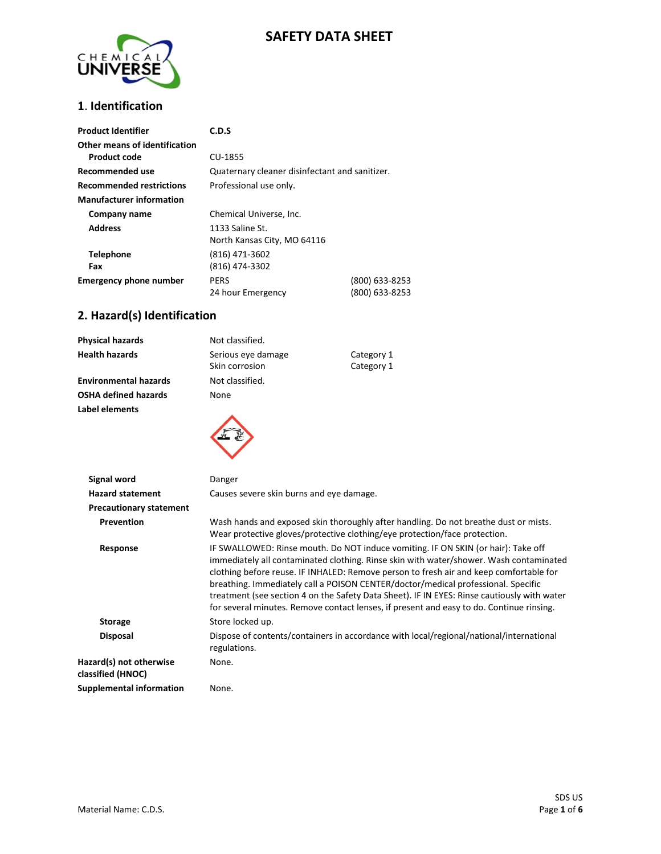# **SAFETY DATA SHEET**



#### **1**. **Identification**

| <b>Product Identifier</b>                     | C.D.S                                          |                                  |
|-----------------------------------------------|------------------------------------------------|----------------------------------|
| Other means of identification<br>Product code | CU-1855                                        |                                  |
| Recommended use                               | Quaternary cleaner disinfectant and sanitizer. |                                  |
| <b>Recommended restrictions</b>               | Professional use only.                         |                                  |
| <b>Manufacturer information</b>               |                                                |                                  |
| Company name                                  | Chemical Universe, Inc.                        |                                  |
| <b>Address</b>                                | 1133 Saline St.<br>North Kansas City, MO 64116 |                                  |
| <b>Telephone</b><br>Fax                       | (816) 471-3602<br>(816) 474-3302               |                                  |
| <b>Emergency phone number</b>                 | <b>PERS</b><br>24 hour Emergency               | (800) 633-8253<br>(800) 633-8253 |

### **2. Hazard(s) Identification**

| <b>Physical hazards</b>        | Not classified.                                                                                                                                                                                                                                                                                                                                                                                                                                                                                                                                       |                                                                                                                                                                    |
|--------------------------------|-------------------------------------------------------------------------------------------------------------------------------------------------------------------------------------------------------------------------------------------------------------------------------------------------------------------------------------------------------------------------------------------------------------------------------------------------------------------------------------------------------------------------------------------------------|--------------------------------------------------------------------------------------------------------------------------------------------------------------------|
| <b>Health hazards</b>          | Serious eye damage                                                                                                                                                                                                                                                                                                                                                                                                                                                                                                                                    | Category 1                                                                                                                                                         |
|                                | Skin corrosion                                                                                                                                                                                                                                                                                                                                                                                                                                                                                                                                        | Category 1                                                                                                                                                         |
| <b>Environmental hazards</b>   | Not classified.                                                                                                                                                                                                                                                                                                                                                                                                                                                                                                                                       |                                                                                                                                                                    |
| <b>OSHA defined hazards</b>    | None                                                                                                                                                                                                                                                                                                                                                                                                                                                                                                                                                  |                                                                                                                                                                    |
| Label elements                 |                                                                                                                                                                                                                                                                                                                                                                                                                                                                                                                                                       |                                                                                                                                                                    |
| <b>Signal word</b>             | Danger                                                                                                                                                                                                                                                                                                                                                                                                                                                                                                                                                |                                                                                                                                                                    |
| <b>Hazard statement</b>        | Causes severe skin burns and eye damage.                                                                                                                                                                                                                                                                                                                                                                                                                                                                                                              |                                                                                                                                                                    |
| <b>Precautionary statement</b> |                                                                                                                                                                                                                                                                                                                                                                                                                                                                                                                                                       |                                                                                                                                                                    |
| Prevention                     |                                                                                                                                                                                                                                                                                                                                                                                                                                                                                                                                                       | Wash hands and exposed skin thoroughly after handling. Do not breathe dust or mists.<br>Wear protective gloves/protective clothing/eye protection/face protection. |
| Response                       | IF SWALLOWED: Rinse mouth. Do NOT induce vomiting. IF ON SKIN (or hair): Take off<br>immediately all contaminated clothing. Rinse skin with water/shower. Wash contaminated<br>clothing before reuse. IF INHALED: Remove person to fresh air and keep comfortable for<br>breathing. Immediately call a POISON CENTER/doctor/medical professional. Specific<br>treatment (see section 4 on the Safety Data Sheet). IF IN EYES: Rinse cautiously with water<br>for several minutes. Remove contact lenses, if present and easy to do. Continue rinsing. |                                                                                                                                                                    |
| <b>Storage</b>                 | Store locked up.                                                                                                                                                                                                                                                                                                                                                                                                                                                                                                                                      |                                                                                                                                                                    |
| <b>Disposal</b>                |                                                                                                                                                                                                                                                                                                                                                                                                                                                                                                                                                       | Dispose of contents/containers in accordance with local/regional/national/international                                                                            |

regulations.

None.

**Hazard(s) not otherwise classified (HNOC) Supplemental information** None.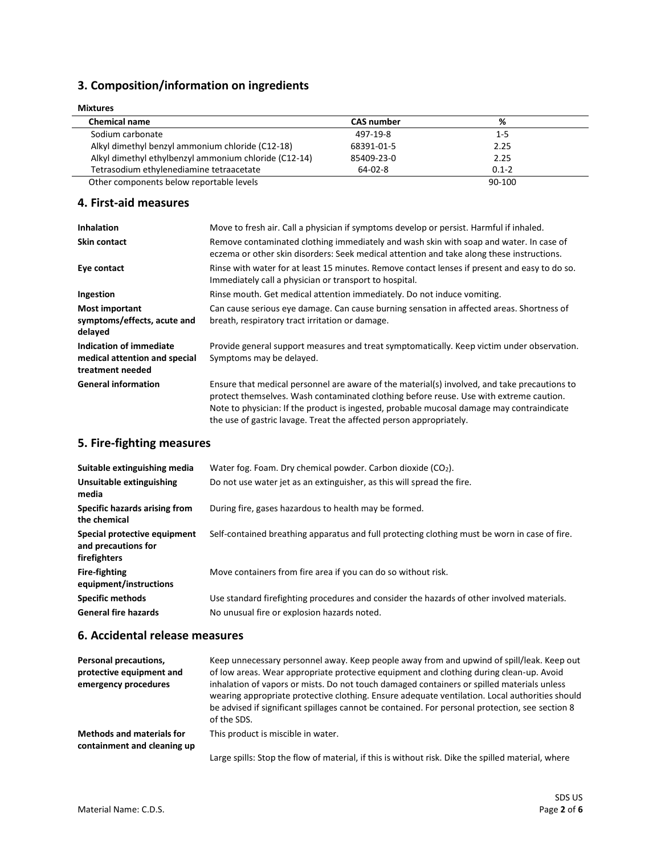### **3. Composition/information on ingredients**

| <b>Mixtures</b>                                       |                   |           |  |
|-------------------------------------------------------|-------------------|-----------|--|
| <b>Chemical name</b>                                  | <b>CAS number</b> | %         |  |
| Sodium carbonate                                      | 497-19-8          | $1 - 5$   |  |
| Alkyl dimethyl benzyl ammonium chloride (C12-18)      | 68391-01-5        | 2.25      |  |
| Alkyl dimethyl ethylbenzyl ammonium chloride (C12-14) | 85409-23-0        | 2.25      |  |
| Tetrasodium ethylenediamine tetraacetate              | 64-02-8           | $0.1 - 2$ |  |
| Other components below reportable levels              |                   | 90-100    |  |

**4. First-aid measures**

| <b>Inhalation</b>                                                            | Move to fresh air. Call a physician if symptoms develop or persist. Harmful if inhaled.                                                                                                                                                                                                                                                                    |
|------------------------------------------------------------------------------|------------------------------------------------------------------------------------------------------------------------------------------------------------------------------------------------------------------------------------------------------------------------------------------------------------------------------------------------------------|
| <b>Skin contact</b>                                                          | Remove contaminated clothing immediately and wash skin with soap and water. In case of<br>eczema or other skin disorders: Seek medical attention and take along these instructions.                                                                                                                                                                        |
| Eye contact                                                                  | Rinse with water for at least 15 minutes. Remove contact lenses if present and easy to do so.<br>Immediately call a physician or transport to hospital.                                                                                                                                                                                                    |
| Ingestion                                                                    | Rinse mouth. Get medical attention immediately. Do not induce vomiting.                                                                                                                                                                                                                                                                                    |
| <b>Most important</b><br>symptoms/effects, acute and<br>delayed              | Can cause serious eye damage. Can cause burning sensation in affected areas. Shortness of<br>breath, respiratory tract irritation or damage.                                                                                                                                                                                                               |
| Indication of immediate<br>medical attention and special<br>treatment needed | Provide general support measures and treat symptomatically. Keep victim under observation.<br>Symptoms may be delayed.                                                                                                                                                                                                                                     |
| <b>General information</b>                                                   | Ensure that medical personnel are aware of the material(s) involved, and take precautions to<br>protect themselves. Wash contaminated clothing before reuse. Use with extreme caution.<br>Note to physician: If the product is ingested, probable mucosal damage may contraindicate<br>the use of gastric lavage. Treat the affected person appropriately. |

### **5. Fire-fighting measures**

| Suitable extinguishing media<br>Unsuitable extinguishing<br>media   | Water fog. Foam. Dry chemical powder. Carbon dioxide $(CO2)$ .<br>Do not use water jet as an extinguisher, as this will spread the fire.  |
|---------------------------------------------------------------------|-------------------------------------------------------------------------------------------------------------------------------------------|
| Specific hazards arising from<br>the chemical                       | During fire, gases hazardous to health may be formed.                                                                                     |
| Special protective equipment<br>and precautions for<br>firefighters | Self-contained breathing apparatus and full protecting clothing must be worn in case of fire.                                             |
| <b>Fire-fighting</b><br>equipment/instructions                      | Move containers from fire area if you can do so without risk.                                                                             |
| <b>Specific methods</b><br><b>General fire hazards</b>              | Use standard firefighting procedures and consider the hazards of other involved materials.<br>No unusual fire or explosion hazards noted. |

#### **6. Accidental release measures**

| <b>Personal precautions,</b><br>protective equipment and<br>emergency procedures | Keep unnecessary personnel away. Keep people away from and upwind of spill/leak. Keep out<br>of low areas. Wear appropriate protective equipment and clothing during clean-up. Avoid<br>inhalation of vapors or mists. Do not touch damaged containers or spilled materials unless<br>wearing appropriate protective clothing. Ensure adequate ventilation. Local authorities should<br>be advised if significant spillages cannot be contained. For personal protection, see section 8<br>of the SDS. |
|----------------------------------------------------------------------------------|--------------------------------------------------------------------------------------------------------------------------------------------------------------------------------------------------------------------------------------------------------------------------------------------------------------------------------------------------------------------------------------------------------------------------------------------------------------------------------------------------------|
| <b>Methods and materials for</b>                                                 | This product is miscible in water.                                                                                                                                                                                                                                                                                                                                                                                                                                                                     |
| containment and cleaning up                                                      | Large spills: Stop the flow of material, if this is without risk. Dike the spilled material, where                                                                                                                                                                                                                                                                                                                                                                                                     |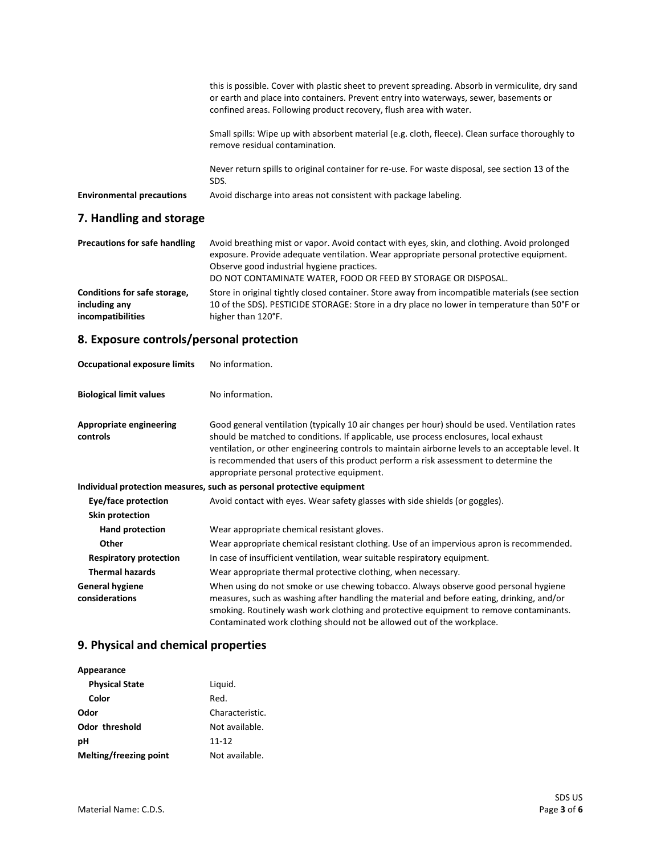| 7 Hameling and standard          |                                                                                                                                                                                                                                                                 |
|----------------------------------|-----------------------------------------------------------------------------------------------------------------------------------------------------------------------------------------------------------------------------------------------------------------|
| <b>Environmental precautions</b> | Avoid discharge into areas not consistent with package labeling.                                                                                                                                                                                                |
|                                  | Never return spills to original container for re-use. For waste disposal, see section 13 of the<br>SDS.                                                                                                                                                         |
|                                  | Small spills: Wipe up with absorbent material (e.g. cloth, fleece). Clean surface thoroughly to<br>remove residual contamination.                                                                                                                               |
|                                  | this is possible. Cover with plastic sheet to prevent spreading. Absorb in vermiculite, dry sand<br>or earth and place into containers. Prevent entry into waterways, sewer, basements or<br>confined areas. Following product recovery, flush area with water. |
|                                  |                                                                                                                                                                                                                                                                 |

#### **7. Handling and storage**

| <b>Precautions for safe handling</b> | Avoid breathing mist or vapor. Avoid contact with eyes, skin, and clothing. Avoid prolonged<br>exposure. Provide adequate ventilation. Wear appropriate personal protective equipment.<br>Observe good industrial hygiene practices.<br>DO NOT CONTAMINATE WATER, FOOD OR FEED BY STORAGE OR DISPOSAL. |
|--------------------------------------|--------------------------------------------------------------------------------------------------------------------------------------------------------------------------------------------------------------------------------------------------------------------------------------------------------|
| Conditions for safe storage,         | Store in original tightly closed container. Store away from incompatible materials (see section                                                                                                                                                                                                        |
| including any                        | 10 of the SDS). PESTICIDE STORAGE: Store in a dry place no lower in temperature than 50°F or                                                                                                                                                                                                           |
| incompatibilities                    | higher than 120°F.                                                                                                                                                                                                                                                                                     |

# **8. Exposure controls/personal protection**

| <b>Occupational exposure limits</b>        | No information.                                                                                                                                                                                                                                                                                                                                                                                                                    |
|--------------------------------------------|------------------------------------------------------------------------------------------------------------------------------------------------------------------------------------------------------------------------------------------------------------------------------------------------------------------------------------------------------------------------------------------------------------------------------------|
| <b>Biological limit values</b>             | No information.                                                                                                                                                                                                                                                                                                                                                                                                                    |
| <b>Appropriate engineering</b><br>controls | Good general ventilation (typically 10 air changes per hour) should be used. Ventilation rates<br>should be matched to conditions. If applicable, use process enclosures, local exhaust<br>ventilation, or other engineering controls to maintain airborne levels to an acceptable level. It<br>is recommended that users of this product perform a risk assessment to determine the<br>appropriate personal protective equipment. |
|                                            | Individual protection measures, such as personal protective equipment                                                                                                                                                                                                                                                                                                                                                              |
| Eye/face protection                        | Avoid contact with eyes. Wear safety glasses with side shields (or goggles).                                                                                                                                                                                                                                                                                                                                                       |
| <b>Skin protection</b>                     |                                                                                                                                                                                                                                                                                                                                                                                                                                    |
| Hand protection                            | Wear appropriate chemical resistant gloves.                                                                                                                                                                                                                                                                                                                                                                                        |
| Other                                      | Wear appropriate chemical resistant clothing. Use of an impervious apron is recommended.                                                                                                                                                                                                                                                                                                                                           |
| <b>Respiratory protection</b>              | In case of insufficient ventilation, wear suitable respiratory equipment.                                                                                                                                                                                                                                                                                                                                                          |
| <b>Thermal hazards</b>                     | Wear appropriate thermal protective clothing, when necessary.                                                                                                                                                                                                                                                                                                                                                                      |
| <b>General hygiene</b><br>considerations   | When using do not smoke or use chewing tobacco. Always observe good personal hygiene<br>measures, such as washing after handling the material and before eating, drinking, and/or<br>smoking. Routinely wash work clothing and protective equipment to remove contaminants.<br>Contaminated work clothing should not be allowed out of the workplace.                                                                              |

# **9. Physical and chemical properties**

| Appearance             |                 |
|------------------------|-----------------|
| <b>Physical State</b>  | Liquid.         |
| Color                  | Red.            |
| Odor                   | Characteristic. |
| <b>Odor threshold</b>  | Not available.  |
| рH                     | $11 - 12$       |
| Melting/freezing point | Not available.  |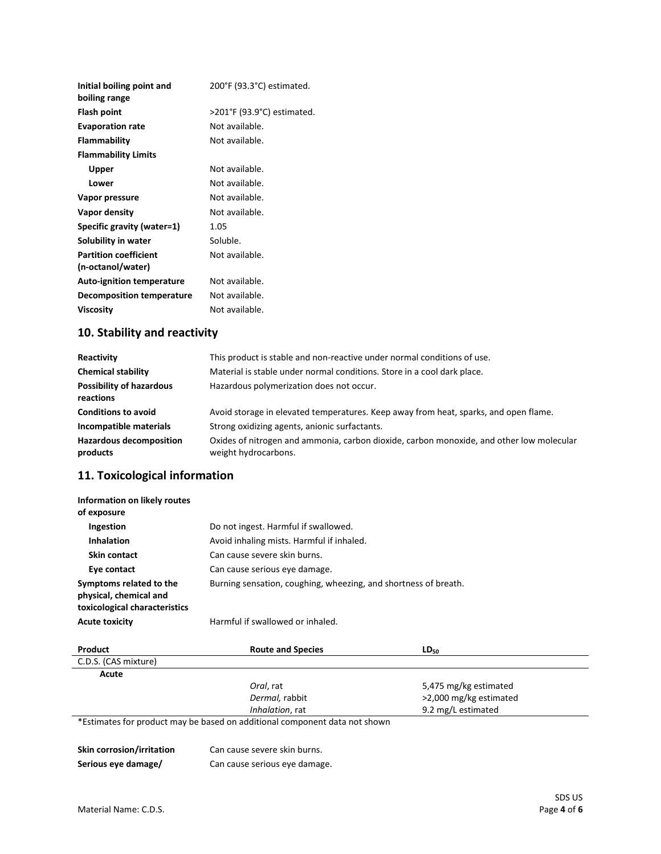| Initial boiling point and<br>boiling range        | 200°F (93.3°C) estimated.  |
|---------------------------------------------------|----------------------------|
| <b>Flash point</b>                                | >201°F (93.9°C) estimated. |
| <b>Evaporation rate</b>                           | Not available.             |
| Flammability                                      | Not available.             |
| <b>Flammability Limits</b>                        |                            |
| Upper                                             | Not available.             |
| Lower                                             | Not available.             |
| Vapor pressure                                    | Not available.             |
| Vapor density                                     | Not available.             |
| Specific gravity (water=1)                        | 1.05                       |
| Solubility in water                               | Soluble.                   |
| <b>Partition coefficient</b><br>(n-octanol/water) | Not available.             |
| <b>Auto-ignition temperature</b>                  | Not available.             |
| Decomposition temperature                         | Not available.             |
| <b>Viscosity</b>                                  | Not available.             |
|                                                   |                            |

# **10. Stability and reactivity**

| Reactivity                                   | This product is stable and non-reactive under normal conditions of use.                                          |
|----------------------------------------------|------------------------------------------------------------------------------------------------------------------|
| <b>Chemical stability</b>                    | Material is stable under normal conditions. Store in a cool dark place.                                          |
| <b>Possibility of hazardous</b><br>reactions | Hazardous polymerization does not occur.                                                                         |
| <b>Conditions to avoid</b>                   | Avoid storage in elevated temperatures. Keep away from heat, sparks, and open flame.                             |
| Incompatible materials                       | Strong oxidizing agents, anionic surfactants.                                                                    |
| <b>Hazardous decomposition</b><br>products   | Oxides of nitrogen and ammonia, carbon dioxide, carbon monoxide, and other low molecular<br>weight hydrocarbons. |

# **11. Toxicological information**

| Information on likely routes<br>of exposure                                        |                                                                 |
|------------------------------------------------------------------------------------|-----------------------------------------------------------------|
| Ingestion                                                                          | Do not ingest. Harmful if swallowed.                            |
| <b>Inhalation</b>                                                                  | Avoid inhaling mists. Harmful if inhaled.                       |
| <b>Skin contact</b>                                                                | Can cause severe skin burns.                                    |
| Eye contact                                                                        | Can cause serious eye damage.                                   |
| Symptoms related to the<br>physical, chemical and<br>toxicological characteristics | Burning sensation, coughing, wheezing, and shortness of breath. |
| <b>Acute toxicity</b>                                                              | Harmful if swallowed or inhaled.                                |

| Product              | <b>Route and Species</b>                                                   | $LD_{50}$              |
|----------------------|----------------------------------------------------------------------------|------------------------|
| C.D.S. (CAS mixture) |                                                                            |                        |
| Acute                |                                                                            |                        |
|                      | Oral, rat                                                                  | 5,475 mg/kg estimated  |
|                      | Dermal, rabbit                                                             | >2,000 mg/kg estimated |
|                      | Inhalation, rat                                                            | 9.2 mg/L estimated     |
|                      | *Estimates for product may be based on additional component data not shown |                        |

\*Estimates for product may be based on additional component data not shown

| Skin corrosion/irritation | Can cause severe skin burns.  |
|---------------------------|-------------------------------|
| Serious eye damage/       | Can cause serious eye damage. |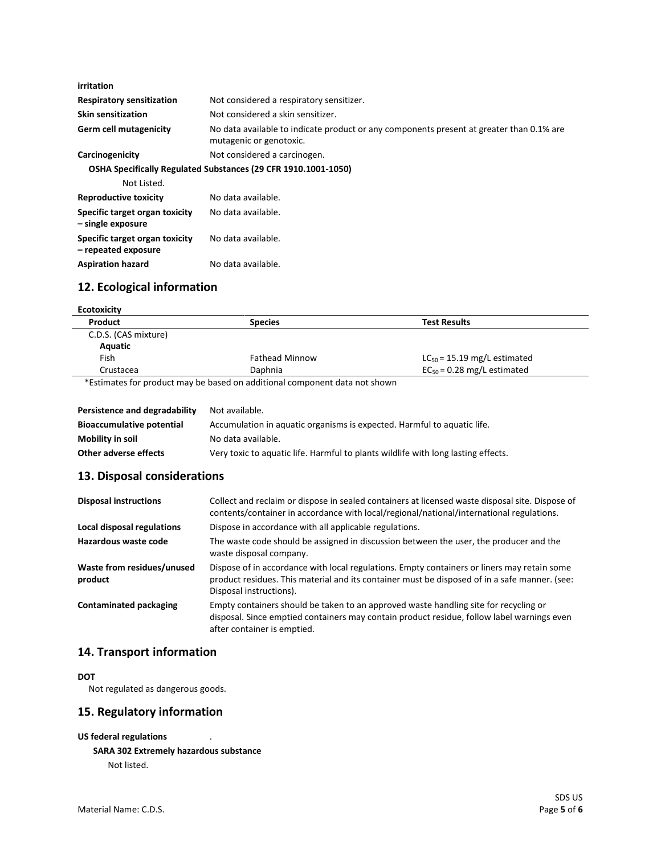| irritation                                            |                                                                                                                     |
|-------------------------------------------------------|---------------------------------------------------------------------------------------------------------------------|
| <b>Respiratory sensitization</b>                      | Not considered a respiratory sensitizer.                                                                            |
| <b>Skin sensitization</b>                             | Not considered a skin sensitizer.                                                                                   |
| <b>Germ cell mutagenicity</b>                         | No data available to indicate product or any components present at greater than 0.1% are<br>mutagenic or genotoxic. |
| Carcinogenicity                                       | Not considered a carcinogen.                                                                                        |
|                                                       | <b>OSHA Specifically Regulated Substances (29 CFR 1910.1001-1050)</b>                                               |
| Not Listed.                                           |                                                                                                                     |
| <b>Reproductive toxicity</b>                          | No data available.                                                                                                  |
| Specific target organ toxicity<br>- single exposure   | No data available.                                                                                                  |
| Specific target organ toxicity<br>- repeated exposure | No data available.                                                                                                  |
| <b>Aspiration hazard</b>                              | No data available.                                                                                                  |

# **12. Ecological information**

| <b>Ecotoxicity</b>   |                       |                                  |
|----------------------|-----------------------|----------------------------------|
| Product              | <b>Species</b>        | <b>Test Results</b>              |
| C.D.S. (CAS mixture) |                       |                                  |
| Aquatic              |                       |                                  |
| Fish                 | <b>Fathead Minnow</b> | $LC_{50}$ = 15.19 mg/L estimated |
| Crustacea            | Daphnia               | $EC_{50} = 0.28$ mg/L estimated  |

\*Estimates for product may be based on additional component data not shown

| Persistence and degradability    | Not available.                                                                    |
|----------------------------------|-----------------------------------------------------------------------------------|
| <b>Bioaccumulative potential</b> | Accumulation in aquatic organisms is expected. Harmful to aquatic life.           |
| Mobility in soil                 | No data available.                                                                |
| Other adverse effects            | Very toxic to aquatic life. Harmful to plants wildlife with long lasting effects. |

### **13. Disposal considerations**

| <b>Disposal instructions</b>          | Collect and reclaim or dispose in sealed containers at licensed waste disposal site. Dispose of<br>contents/container in accordance with local/regional/national/international regulations.                             |
|---------------------------------------|-------------------------------------------------------------------------------------------------------------------------------------------------------------------------------------------------------------------------|
| Local disposal regulations            | Dispose in accordance with all applicable regulations.                                                                                                                                                                  |
| Hazardous waste code                  | The waste code should be assigned in discussion between the user, the producer and the<br>waste disposal company.                                                                                                       |
| Waste from residues/unused<br>product | Dispose of in accordance with local regulations. Empty containers or liners may retain some<br>product residues. This material and its container must be disposed of in a safe manner. (see:<br>Disposal instructions). |
| <b>Contaminated packaging</b>         | Empty containers should be taken to an approved waste handling site for recycling or<br>disposal. Since emptied containers may contain product residue, follow label warnings even<br>after container is emptied.       |

### **14. Transport information**

#### **DOT**

Not regulated as dangerous goods.

#### **15. Regulatory information**

```
US federal regulations .
```

```
SARA 302 Extremely hazardous substance
Not listed.
```